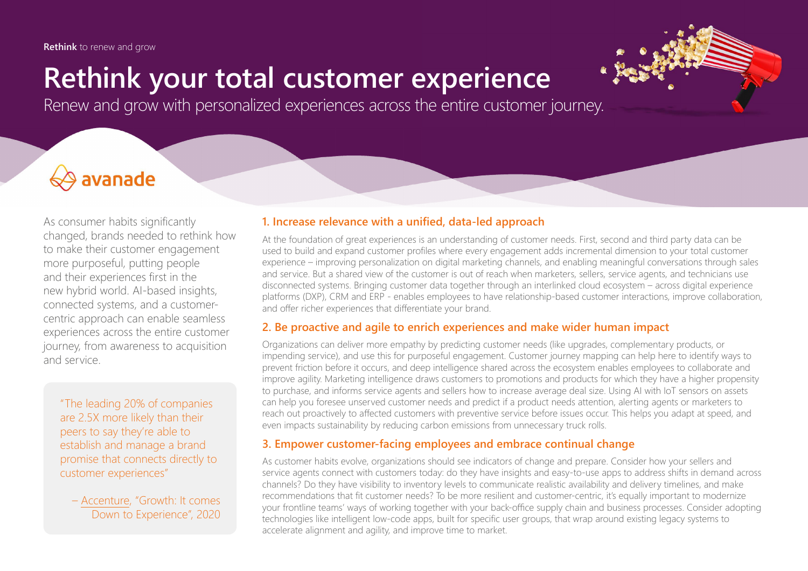**Rethink** to renew and grow

# **Rethink your total customer experience**

Renew and grow with personalized experiences across the entire customer journey.

## avanade

As consumer habits significantly changed, brands needed to rethink how to make their customer engagement more purposeful, putting people and their experiences first in the new hybrid world. AI-based insights, connected systems, and a customercentric approach can enable seamless experiences across the entire customer journey, from awareness to acquisition and service.

"The leading 20% of companies are 2.5X more likely than their peers to say they're able to establish and manage a brand promise that connects directly to customer experiences"

– [Accenture](https://www.accenture.com/_acnmedia/Thought-Leadership-Assets/PDF-3/Accenture-Interactive-Business-of-Experience-Full-Report.pdf), "Growth: It comes Down to Experience", 2020

#### **1. Increase relevance with a unified, data-led approach**

At the foundation of great experiences is an understanding of customer needs. First, second and third party data can be used to build and expand customer profiles where every engagement adds incremental dimension to your total customer experience – improving personalization on digital marketing channels, and enabling meaningful conversations through sales and service. But a shared view of the customer is out of reach when marketers, sellers, service agents, and technicians use disconnected systems. Bringing customer data together through an interlinked cloud ecosystem – across digital experience platforms (DXP), CRM and ERP - enables employees to have relationship-based customer interactions, improve collaboration, and offer richer experiences that differentiate your brand.

#### **2. Be proactive and agile to enrich experiences and make wider human impact**

Organizations can deliver more empathy by predicting customer needs (like upgrades, complementary products, or impending service), and use this for purposeful engagement. Customer journey mapping can help here to identify ways to prevent friction before it occurs, and deep intelligence shared across the ecosystem enables employees to collaborate and improve agility. Marketing intelligence draws customers to promotions and products for which they have a higher propensity to purchase, and informs service agents and sellers how to increase average deal size. Using AI with IoT sensors on assets can help you foresee unserved customer needs and predict if a product needs attention, alerting agents or marketers to reach out proactively to affected customers with preventive service before issues occur. This helps you adapt at speed, and even impacts sustainability by reducing carbon emissions from unnecessary truck rolls.

#### **3. Empower customer-facing employees and embrace continual change**

As customer habits evolve, organizations should see indicators of change and prepare. Consider how your sellers and service agents connect with customers today: do they have insights and easy-to-use apps to address shifts in demand across channels? Do they have visibility to inventory levels to communicate realistic availability and delivery timelines, and make recommendations that fit customer needs? To be more resilient and customer-centric, it's equally important to modernize your frontline teams' ways of working together with your back-office supply chain and business processes. Consider adopting technologies like intelligent low-code apps, built for specific user groups, that wrap around existing legacy systems to accelerate alignment and agility, and improve time to market.